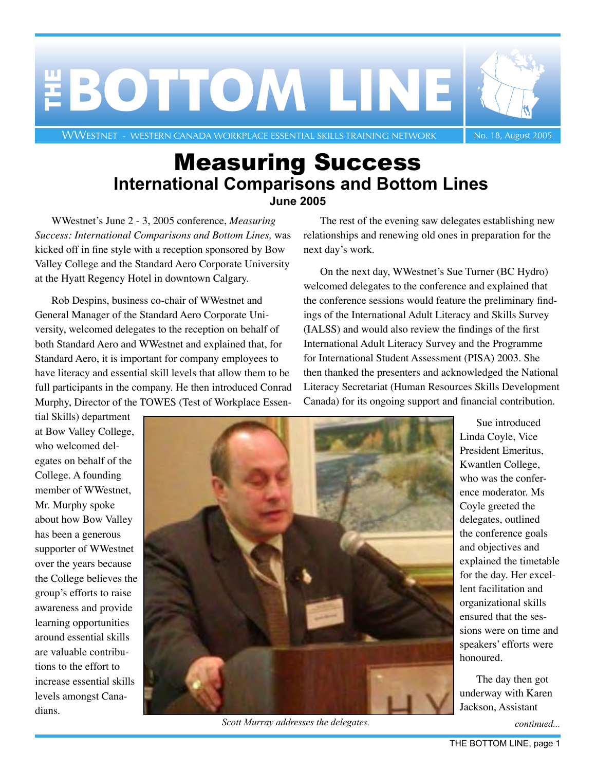

## Measuring Success **International Comparisons and Bottom Lines June 2005**

WWestnet's June 2 - 3, 2005 conference, *Measuring Success: International Comparisons and Bottom Lines,* was kicked off in fine style with a reception sponsored by Bow Valley College and the Standard Aero Corporate University at the Hyatt Regency Hotel in downtown Calgary.

Rob Despins, business co-chair of WWestnet and General Manager of the Standard Aero Corporate University, welcomed delegates to the reception on behalf of both Standard Aero and WWestnet and explained that, for Standard Aero, it is important for company employees to have literacy and essential skill levels that allow them to be full participants in the company. He then introduced Conrad Murphy, Director of the TOWES (Test of Workplace Essen-

<span id="page-0-0"></span>The rest of the evening saw delegates establishing new relationships and renewing old ones in preparation for the next day's work.

On the next day, WWestnet's Sue Turner (BC Hydro) welcomed delegates to the conference and explained that the conference sessions would feature the preliminary findings of the International Adult Literacy and Skills Survey (IALSS) and would also review the findings of the first International Adult Literacy Survey and the Programme for International Student Assessment (PISA) 2003. She then thanked the presenters and acknowledged the National Literacy Secretariat (Human Resources Skills Development Canada) for its ongoing support and financial contribution.

tial Skills) department at Bow Valley College, who welcomed delegates on behalf of the College. A founding member of WWestnet, Mr. Murphy spoke about how Bow Valley has been a generous supporter of WWestnet over the years because the College believes the group's efforts to raise awareness and provide learning opportunities around essential skills are valuable contributions to the effort to increase essential skills levels amongst Canadians.



*Scott Murray addresses the delegates.*

Sue introduced Linda Coyle, Vice President Emeritus, Kwantlen College, who was the conference moderator. Ms Coyle greeted the delegates, outlined the conference goals and objectives and explained the timetable for the day. Her excellent facilitation and organizational skills ensured that the sessions were on time and speakers' efforts were honoured.

The day then got underway with Karen Jackson, Assistant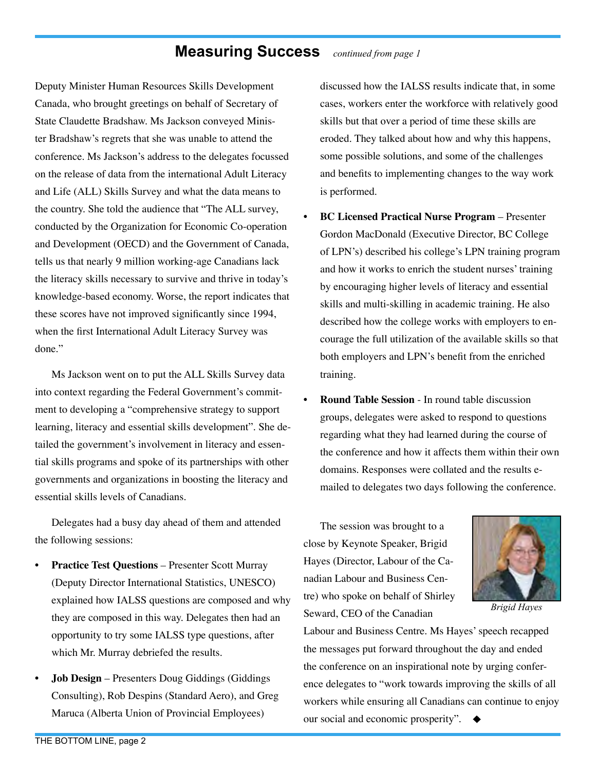### **Measuring Success** *continued from page 1*

Deputy Minister Human Resources Skills Development Canada, who brought greetings on behalf of Secretary of State Claudette Bradshaw. Ms Jackson conveyed Minister Bradshaw's regrets that she was unable to attend the conference. Ms Jackson's address to the delegates focussed on the release of data from the international Adult Literacy and Life (ALL) Skills Survey and what the data means to the country. She told the audience that "The ALL survey, conducted by the Organization for Economic Co-operation and Development (OECD) and the Government of Canada, tells us that nearly 9 million working-age Canadians lack the literacy skills necessary to survive and thrive in today's knowledge-based economy. Worse, the report indicates that these scores have not improved significantly since 1994, when the first International Adult Literacy Survey was done."

Ms Jackson went on to put the ALL Skills Survey data into context regarding the Federal Government's commitment to developing a "comprehensive strategy to support learning, literacy and essential skills development". She detailed the government's involvement in literacy and essential skills programs and spoke of its partnerships with other governments and organizations in boosting the literacy and essential skills levels of Canadians.

Delegates had a busy day ahead of them and attended the following sessions:

- **Practice Test Questions** Presenter Scott Murray (Deputy Director International Statistics, UNESCO) explained how IALSS questions are composed and why they are composed in this way. Delegates then had an opportunity to try some IALSS type questions, after which Mr. Murray debriefed the results.
- **Job Design** Presenters Doug Giddings (Giddings) Consulting), Rob Despins (Standard Aero), and Greg Maruca (Alberta Union of Provincial Employees)

discussed how the IALSS results indicate that, in some cases, workers enter the workforce with relatively good skills but that over a period of time these skills are eroded. They talked about how and why this happens, some possible solutions, and some of the challenges and benefits to implementing changes to the way work is performed.

- **BC Licensed Practical Nurse Program** Presenter Gordon MacDonald (Executive Director, BC College of LPN's) described his college's LPN training program and how it works to enrich the student nurses' training by encouraging higher levels of literacy and essential skills and multi-skilling in academic training. He also described how the college works with employers to encourage the full utilization of the available skills so that both employers and LPN's benefit from the enriched training.
- **Round Table Session** In round table discussion groups, delegates were asked to respond to questions regarding what they had learned during the course of the conference and how it affects them within their own domains. Responses were collated and the results emailed to delegates two days following the conference.

The session was brought to a close by Keynote Speaker, Brigid Hayes (Director, Labour of the Canadian Labour and Business Centre) who spoke on behalf of Shirley Seward, CEO of the Canadian



*Brigid Hayes* 

Labour and Business Centre. Ms Hayes' speech recapped the messages put forward throughout the day and ended the conference on an inspirational note by urging conference delegates to "work towards improving the skills of all workers while ensuring all Canadians can continue to enjoy our social and economic prosperity".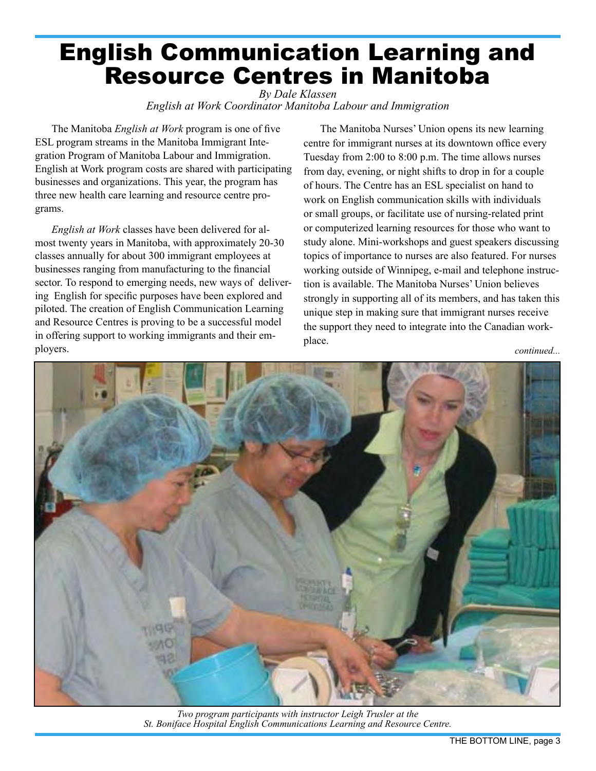## <span id="page-2-0"></span>English Communication Learning and Resource Centres in Manitoba

*By Dale Klassen English at Work Coordinator Manitoba Labour and Immigration*

The Manitoba *English at Work* program is one of five ESL program streams in the Manitoba Immigrant Integration Program of Manitoba Labour and Immigration. English at Work program costs are shared with participating businesses and organizations. This year, the program has three new health care learning and resource centre programs.

*English at Work* classes have been delivered for almost twenty years in Manitoba, with approximately 20-30 classes annually for about 300 immigrant employees at businesses ranging from manufacturing to the financial sector. To respond to emerging needs, new ways of delivering English for specific purposes have been explored and piloted. The creation of English Communication Learning and Resource Centres is proving to be a successful model in offering support to working immigrants and their employers.

The Manitoba Nurses' Union opens its new learning centre for immigrant nurses at its downtown office every Tuesday from 2:00 to 8:00 p.m. The time allows nurses from day, evening, or night shifts to drop in for a couple of hours. The Centre has an ESL specialist on hand to work on English communication skills with individuals or small groups, or facilitate use of nursing-related print or computerized learning resources for those who want to study alone. Mini-workshops and guest speakers discussing topics of importance to nurses are also featured. For nurses working outside of Winnipeg, e-mail and telephone instruction is available. The Manitoba Nurses' Union believes strongly in supporting all of its members, and has taken this unique step in making sure that immigrant nurses receive the support they need to integrate into the Canadian workplace.



*Two program participants with instructor Leigh Trusler at the St. Boniface Hospital English Communications Learning and Resource Centre.*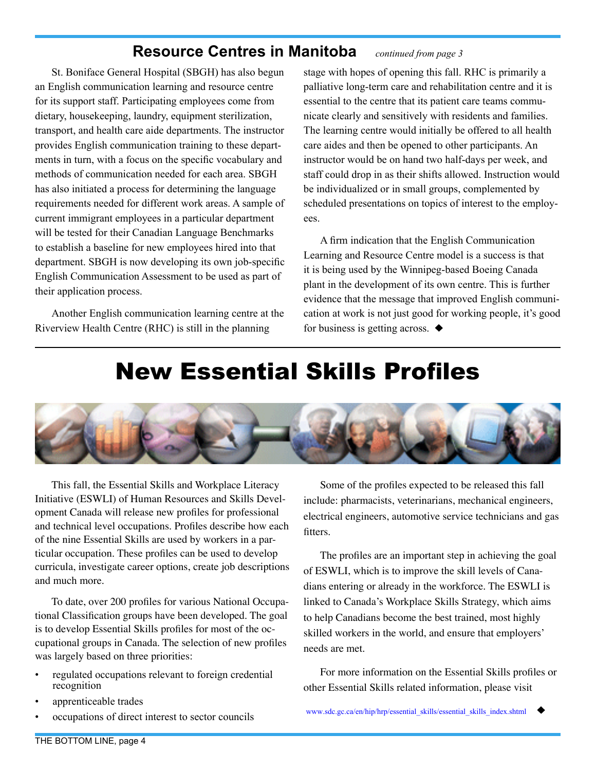### **Resource Centres in Manitoba** *continued from page 3*

St. Boniface General Hospital (SBGH) has also begun an English communication learning and resource centre for its support staff. Participating employees come from dietary, housekeeping, laundry, equipment sterilization, transport, and health care aide departments. The instructor provides English communication training to these departments in turn, with a focus on the specific vocabulary and methods of communication needed for each area. SBGH has also initiated a process for determining the language requirements needed for different work areas. A sample of current immigrant employees in a particular department will be tested for their Canadian Language Benchmarks to establish a baseline for new employees hired into that department. SBGH is now developing its own job-specific English Communication Assessment to be used as part of their application process.

Another English communication learning centre at the Riverview Health Centre (RHC) is still in the planning

stage with hopes of opening this fall. RHC is primarily a palliative long-term care and rehabilitation centre and it is essential to the centre that its patient care teams communicate clearly and sensitively with residents and families. The learning centre would initially be offered to all health care aides and then be opened to other participants. An instructor would be on hand two half-days per week, and staff could drop in as their shifts allowed. Instruction would be individualized or in small groups, complemented by scheduled presentations on topics of interest to the employees.

A firm indication that the English Communication Learning and Resource Centre model is a success is that it is being used by the Winnipeg-based Boeing Canada plant in the development of its own centre. This is further evidence that the message that improved English communication at work is not just good for working people, it's good for business is getting across.  $\blacklozenge$ 

## <span id="page-3-0"></span>[New Essential Skills Profiles](http://www.sdc.gc.ca/en/hip/hrp/essential_skills/essential_skills_index.shtml)



This fall, the Essential Skills and Workplace Literacy Initiative (ESWLI) of Human Resources and Skills Development Canada will release new profiles for professional and technical level occupations. Profiles describe how each of the nine Essential Skills are used by workers in a particular occupation. These profiles can be used to develop curricula, investigate career options, create job descriptions and much more.

To date, over 200 profiles for various National Occupational Classification groups have been developed. The goal is to develop Essential Skills profiles for most of the occupational groups in Canada. The selection of new profiles was largely based on three priorities:

- regulated occupations relevant to foreign credential recognition
- apprenticeable trades
- occupations of direct interest to sector councils

Some of the profiles expected to be released this fall include: pharmacists, veterinarians, mechanical engineers, electrical engineers, automotive service technicians and gas fitters.

The profiles are an important step in achieving the goal of ESWLI, which is to improve the skill levels of Canadians entering or already in the workforce. The ESWLI is linked to Canada's Workplace Skills Strategy, which aims to help Canadians become the best trained, most highly skilled workers in the world, and ensure that employers' needs are met.

For more information on the Essential Skills profiles or other Essential Skills related information, please visit

[www.sdc.gc.ca/en/hip/hrp/essential\\_skills/essential\\_skills\\_index.shtml](http://www.sdc.gc.ca/en/hip/hrp/essential_skills/essential_skills_index.shtml)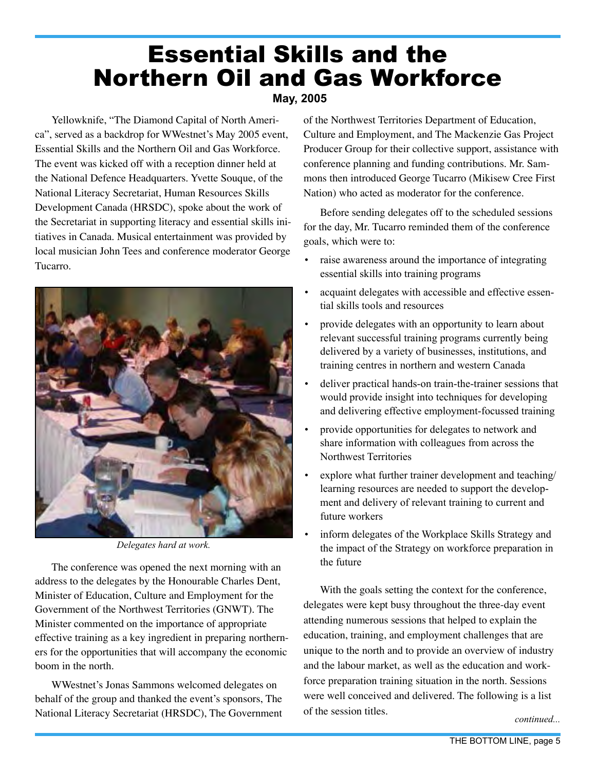## Essential Skills and the Northern Oil and Gas Workforce

### <span id="page-4-0"></span>**May, 2005**

Yellowknife, "The Diamond Capital of North America", served as a backdrop for WWestnet's May 2005 event, Essential Skills and the Northern Oil and Gas Workforce. The event was kicked off with a reception dinner held at the National Defence Headquarters. Yvette Souque, of the National Literacy Secretariat, Human Resources Skills Development Canada (HRSDC), spoke about the work of the Secretariat in supporting literacy and essential skills initiatives in Canada. Musical entertainment was provided by local musician John Tees and conference moderator George Tucarro.



 *Delegates hard at work.*

The conference was opened the next morning with an address to the delegates by the Honourable Charles Dent, Minister of Education, Culture and Employment for the Government of the Northwest Territories (GNWT). The Minister commented on the importance of appropriate effective training as a key ingredient in preparing northerners for the opportunities that will accompany the economic boom in the north.

WWestnet's Jonas Sammons welcomed delegates on behalf of the group and thanked the event's sponsors, The National Literacy Secretariat (HRSDC), The Government of the Northwest Territories Department of Education, Culture and Employment, and The Mackenzie Gas Project Producer Group for their collective support, assistance with conference planning and funding contributions. Mr. Sammons then introduced George Tucarro (Mikisew Cree First Nation) who acted as moderator for the conference.

Before sending delegates off to the scheduled sessions for the day, Mr. Tucarro reminded them of the conference goals, which were to:

- raise awareness around the importance of integrating essential skills into training programs
- acquaint delegates with accessible and effective essential skills tools and resources
- provide delegates with an opportunity to learn about relevant successful training programs currently being delivered by a variety of businesses, institutions, and training centres in northern and western Canada
- deliver practical hands-on train-the-trainer sessions that would provide insight into techniques for developing and delivering effective employment-focussed training
- provide opportunities for delegates to network and share information with colleagues from across the Northwest Territories
- explore what further trainer development and teaching/ learning resources are needed to support the development and delivery of relevant training to current and future workers
- inform delegates of the Workplace Skills Strategy and the impact of the Strategy on workforce preparation in the future

With the goals setting the context for the conference, delegates were kept busy throughout the three-day event attending numerous sessions that helped to explain the education, training, and employment challenges that are unique to the north and to provide an overview of industry and the labour market, as well as the education and workforce preparation training situation in the north. Sessions were well conceived and delivered. The following is a list of the session titles.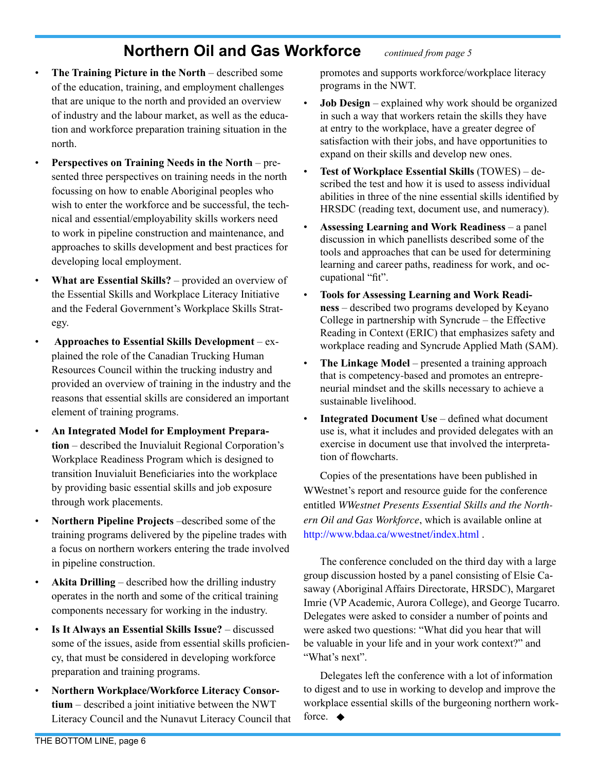### **Northern Oil and Gas Workforce** *continued from page 5*

- **The Training Picture in the North** described some of the education, training, and employment challenges that are unique to the north and provided an overview of industry and the labour market, as well as the education and workforce preparation training situation in the north.
- **Perspectives on Training Needs in the North** presented three perspectives on training needs in the north focussing on how to enable Aboriginal peoples who wish to enter the workforce and be successful, the technical and essential/employability skills workers need to work in pipeline construction and maintenance, and approaches to skills development and best practices for developing local employment.
- **What are Essential Skills?** provided an overview of the Essential Skills and Workplace Literacy Initiative and the Federal Government's Workplace Skills Strategy.
- **Approaches to Essential Skills Development** explained the role of the Canadian Trucking Human Resources Council within the trucking industry and provided an overview of training in the industry and the reasons that essential skills are considered an important element of training programs.
- **An Integrated Model for Employment Preparation** – described the Inuvialuit Regional Corporation's Workplace Readiness Program which is designed to transition Inuvialuit Beneficiaries into the workplace by providing basic essential skills and job exposure through work placements.
- **Northern Pipeline Projects** –described some of the training programs delivered by the pipeline trades with a focus on northern workers entering the trade involved in pipeline construction.
- **Akita Drilling**  described how the drilling industry operates in the north and some of the critical training components necessary for working in the industry.
- **Is It Always an Essential Skills Issue?**  discussed some of the issues, aside from essential skills proficiency, that must be considered in developing workforce preparation and training programs.
- **Northern Workplace/Workforce Literacy Consortium** – described a joint initiative between the NWT Literacy Council and the Nunavut Literacy Council that

promotes and supports workforce/workplace literacy programs in the NWT.

- **Job Design** explained why work should be organized in such a way that workers retain the skills they have at entry to the workplace, have a greater degree of satisfaction with their jobs, and have opportunities to expand on their skills and develop new ones.
- **Test of Workplace Essential Skills** (TOWES) described the test and how it is used to assess individual abilities in three of the nine essential skills identified by HRSDC (reading text, document use, and numeracy).
- **Assessing Learning and Work Readiness**  a panel discussion in which panellists described some of the tools and approaches that can be used for determining learning and career paths, readiness for work, and occupational "fit".
- **Tools for Assessing Learning and Work Readiness** – described two programs developed by Keyano College in partnership with Syncrude – the Effective Reading in Context (ERIC) that emphasizes safety and workplace reading and Syncrude Applied Math (SAM).
- **The Linkage Model** presented a training approach that is competency-based and promotes an entrepreneurial mindset and the skills necessary to achieve a sustainable livelihood.
- **Integrated Document Use** defined what document use is, what it includes and provided delegates with an exercise in document use that involved the interpretation of flowcharts.

Copies of the presentations have been published in WWestnet's report and resource guide for the conference entitled *WWestnet Presents Essential Skills and the Northern Oil and Gas Workforce*, which is available online at <http://www.bdaa.ca/wwestnet/index.html> *.*

The conference concluded on the third day with a large group discussion hosted by a panel consisting of Elsie Casaway (Aboriginal Affairs Directorate, HRSDC), Margaret Imrie (VP Academic, Aurora College), and George Tucarro. Delegates were asked to consider a number of points and were asked two questions: "What did you hear that will be valuable in your life and in your work context?" and "What's next".

Delegates left the conference with a lot of information to digest and to use in working to develop and improve the workplace essential skills of the burgeoning northern workforce.  $\blacklozenge$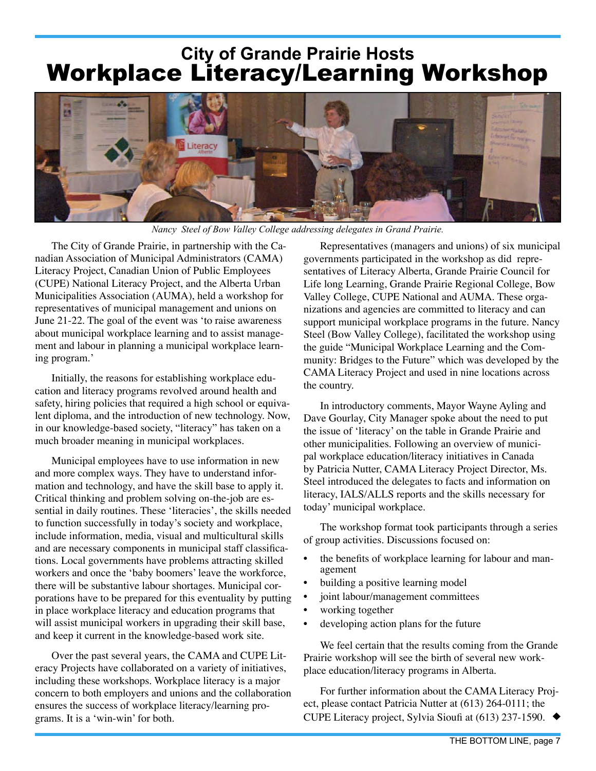## **City of Grande Prairie Hosts** Workplace Literacy/Learning Workshop



*Nancy Steel of Bow Valley College addressing delegates in Grand Prairie.*

The City of Grande Prairie, in partnership with the Canadian Association of Municipal Administrators (CAMA) Literacy Project, Canadian Union of Public Employees (CUPE) National Literacy Project, and the Alberta Urban Municipalities Association (AUMA), held a workshop for representatives of municipal management and unions on June 21-22. The goal of the event was ʻto raise awareness about municipal workplace learning and to assist management and labour in planning a municipal workplace learning program.'

Initially, the reasons for establishing workplace education and literacy programs revolved around health and safety, hiring policies that required a high school or equivalent diploma, and the introduction of new technology. Now, in our knowledge-based society, "literacy" has taken on a much broader meaning in municipal workplaces.

Municipal employees have to use information in new and more complex ways. They have to understand information and technology, and have the skill base to apply it. Critical thinking and problem solving on-the-job are essential in daily routines. These ʻliteracies', the skills needed to function successfully in today's society and workplace, include information, media, visual and multicultural skills and are necessary components in municipal staff classifications. Local governments have problems attracting skilled workers and once the ʻbaby boomers' leave the workforce, there will be substantive labour shortages. Municipal corporations have to be prepared for this eventuality by putting in place workplace literacy and education programs that will assist municipal workers in upgrading their skill base, and keep it current in the knowledge-based work site.

Over the past several years, the CAMA and CUPE Literacy Projects have collaborated on a variety of initiatives, including these workshops. Workplace literacy is a major concern to both employers and unions and the collaboration ensures the success of workplace literacy/learning programs. It is a ʻwin-win' for both.

<span id="page-6-0"></span>Representatives (managers and unions) of six municipal governments participated in the workshop as did representatives of Literacy Alberta, Grande Prairie Council for Life long Learning, Grande Prairie Regional College, Bow Valley College, CUPE National and AUMA. These organizations and agencies are committed to literacy and can support municipal workplace programs in the future. Nancy Steel (Bow Valley College), facilitated the workshop using the guide "Municipal Workplace Learning and the Community: Bridges to the Future" which was developed by the CAMA Literacy Project and used in nine locations across the country.

In introductory comments, Mayor Wayne Ayling and Dave Gourlay, City Manager spoke about the need to put the issue of ʻliteracy' on the table in Grande Prairie and other municipalities. Following an overview of municipal workplace education/literacy initiatives in Canada by Patricia Nutter, CAMA Literacy Project Director, Ms. Steel introduced the delegates to facts and information on literacy, IALS/ALLS reports and the skills necessary for today' municipal workplace.

The workshop format took participants through a series of group activities. Discussions focused on:

- the benefits of workplace learning for labour and management
- building a positive learning model
- joint labour/management committees
- working together
- developing action plans for the future

We feel certain that the results coming from the Grande Prairie workshop will see the birth of several new workplace education/literacy programs in Alberta.

For further information about the CAMA Literacy Project, please contact Patricia Nutter at (613) 264-0111; the CUPE Literacy project, Sylvia Sioufi at (613) 237-1590.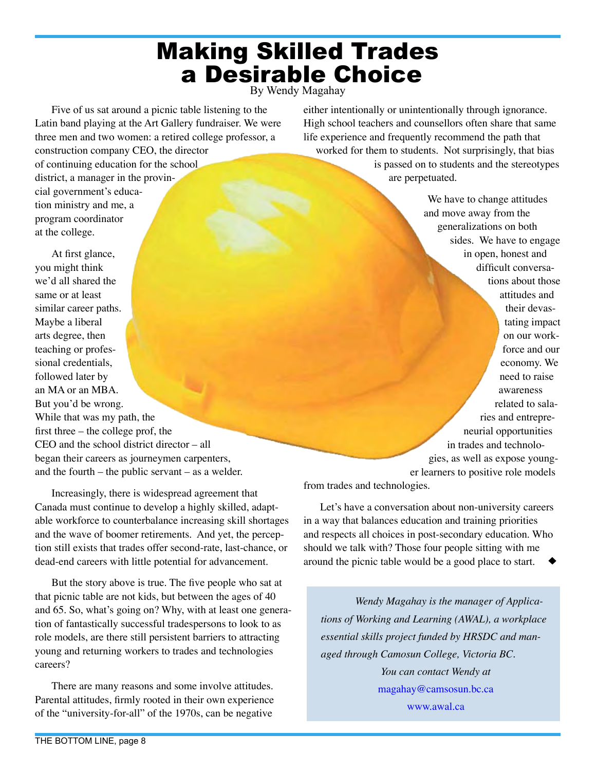## Making Skilled Trades a Desirable Choice

<span id="page-7-0"></span>By Wendy Magahay

Five of us sat around a picnic table listening to the Latin band playing at the Art Gallery fundraiser. We were three men and two women: a retired college professor, a construction company CEO, the director of continuing education for the school district, a manager in the provincial government's education ministry and me, a program coordinator at the college.

either intentionally or unintentionally through ignorance. High school teachers and counsellors often share that same life experience and frequently recommend the path that worked for them to students. Not surprisingly, that bias

is passed on to students and the stereotypes are perpetuated.

At first glance, you might think we'd all shared the same or at least similar career paths. Maybe a liberal arts degree, then teaching or professional credentials, followed later by an MA or an MBA. But you'd be wrong. While that was my path, the first three – the college prof, the CEO and the school district director – all began their careers as journeymen carpenters, and the fourth – the public servant – as a welder.

Increasingly, there is widespread agreement that Canada must continue to develop a highly skilled, adaptable workforce to counterbalance increasing skill shortages and the wave of boomer retirements. And yet, the perception still exists that trades offer second-rate, last-chance, or dead-end careers with little potential for advancement.

But the story above is true. The five people who sat at that picnic table are not kids, but between the ages of 40 and 65. So, what's going on? Why, with at least one generation of fantastically successful tradespersons to look to as role models, are there still persistent barriers to attracting young and returning workers to trades and technologies careers?

There are many reasons and some involve attitudes. Parental attitudes, firmly rooted in their own experience of the "university-for-all" of the 1970s, can be negative

We have to change attitudes and move away from the generalizations on both sides. We have to engage in open, honest and difficult conversations about those attitudes and their devastating impact on our workforce and our economy. We need to raise awareness related to salaries and entrepreneurial opportunities in trades and technologies, as well as expose younger learners to positive role models

from trades and technologies.

Let's have a conversation about non-university careers in a way that balances education and training priorities and respects all choices in post-secondary education. Who should we talk with? Those four people sitting with me around the picnic table would be a good place to start.

*Wendy Magahay is the manager of Applications of Working and Learning (AWAL), a workplace essential skills project funded by HRSDC and managed through Camosun College, Victoria BC. You can contact Wendy at* [magahay@camsosun.bc.ca](mailto://magahay@camsosun.bc.ca)

<www.awal.ca>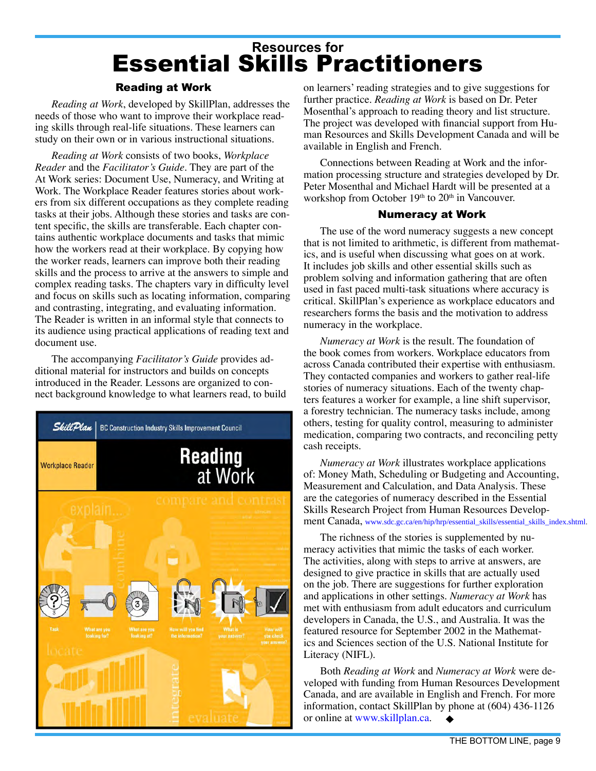## **[Resources for](http://www.skillplan.ca/English/resources.htm)** [Essential Skills Practitioners](http://www.skillplan.ca/English/resources.htm)

#### Reading at Work

*Reading at Work*, developed by SkillPlan, addresses the needs of those who want to improve their workplace reading skills through real-life situations. These learners can study on their own or in various instructional situations.

*Reading at Work* consists of two books, *Workplace Reader* and the *Facilitator's Guide*. They are part of the At Work series: Document Use, Numeracy, and Writing at Work. The Workplace Reader features stories about workers from six different occupations as they complete reading tasks at their jobs. Although these stories and tasks are content specific, the skills are transferable. Each chapter contains authentic workplace documents and tasks that mimic how the workers read at their workplace. By copying how the worker reads, learners can improve both their reading skills and the process to arrive at the answers to simple and complex reading tasks. The chapters vary in difficulty level and focus on skills such as locating information, comparing and contrasting, integrating, and evaluating information. The Reader is written in an informal style that connects to its audience using practical applications of reading text and document use.

The accompanying *Facilitator's Guide* provides additional material for instructors and builds on concepts introduced in the Reader. Lessons are organized to connect background knowledge to what learners read, to build



<span id="page-8-0"></span>on learners' reading strategies and to give suggestions for further practice. *Reading at Work* is based on Dr. Peter Mosenthal's approach to reading theory and list structure. The project was developed with financial support from Human Resources and Skills Development Canada and will be available in English and French.

Connections between Reading at Work and the information processing structure and strategies developed by Dr. Peter Mosenthal and Michael Hardt will be presented at a workshop from October 19<sup>th</sup> to 20<sup>th</sup> in Vancouver.

#### Numeracy at Work

The use of the word numeracy suggests a new concept that is not limited to arithmetic, is different from mathematics, and is useful when discussing what goes on at work. It includes job skills and other essential skills such as problem solving and information gathering that are often used in fast paced multi-task situations where accuracy is critical. SkillPlan's experience as workplace educators and researchers forms the basis and the motivation to address numeracy in the workplace.

*Numeracy at Work* is the result. The foundation of the book comes from workers. Workplace educators from across Canada contributed their expertise with enthusiasm. They contacted companies and workers to gather real-life stories of numeracy situations. Each of the twenty chapters features a worker for example, a line shift supervisor, a forestry technician. The numeracy tasks include, among others, testing for quality control, measuring to administer medication, comparing two contracts, and reconciling petty cash receipts.

*Numeracy at Work* illustrates workplace applications of: Money Math, Scheduling or Budgeting and Accounting, Measurement and Calculation, and Data Analysis. These are the categories of numeracy described in the Essential Skills Research Project from Human Resources Development Canada, [www.sdc.gc.ca/en/hip/hrp/essential\\_skills/essential\\_skills\\_index.shtml](www.sdc.gc.ca/en/hip/hrp/essential_skills/essential_skills_index.shtml).

The richness of the stories is supplemented by numeracy activities that mimic the tasks of each worker. The activities, along with steps to arrive at answers, are designed to give practice in skills that are actually used on the job. There are suggestions for further exploration and applications in other settings. *Numeracy at Work* has met with enthusiasm from adult educators and curriculum developers in Canada, the U.S., and Australia. It was the featured resource for September 2002 in the Mathematics and Sciences section of the U.S. National Institute for Literacy (NIFL).

Both *Reading at Work* and *Numeracy at Work* were developed with funding from Human Resources Development Canada, and are available in English and French. For more information, contact SkillPlan by phone at (604) 436-1126 or online at <www.skillplan.ca>.  $\bullet$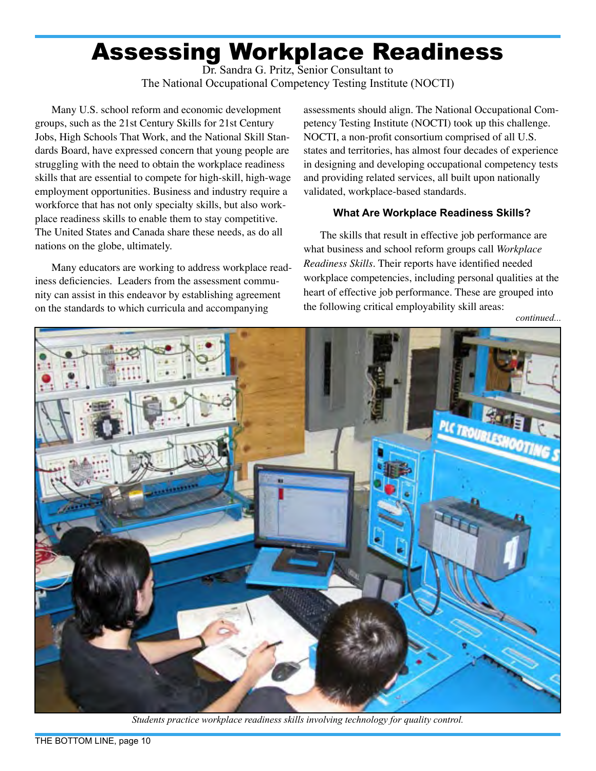# Assessing Workplace Readiness

<span id="page-9-0"></span>Dr. Sandra G. Pritz, Senior Consultant to The National Occupational Competency Testing Institute (NOCTI)

Many U.S. school reform and economic development groups, such as the 21st Century Skills for 21st Century Jobs, High Schools That Work, and the National Skill Standards Board, have expressed concern that young people are struggling with the need to obtain the workplace readiness skills that are essential to compete for high-skill, high-wage employment opportunities. Business and industry require a workforce that has not only specialty skills, but also workplace readiness skills to enable them to stay competitive. The United States and Canada share these needs, as do all nations on the globe, ultimately.

Many educators are working to address workplace readiness deficiencies. Leaders from the assessment community can assist in this endeavor by establishing agreement on the standards to which curricula and accompanying

assessments should align. The National Occupational Competency Testing Institute (NOCTI) took up this challenge. NOCTI, a non-profit consortium comprised of all U.S. states and territories, has almost four decades of experience in designing and developing occupational competency tests and providing related services, all built upon nationally validated, workplace-based standards.

#### **What Are Workplace Readiness Skills?**

The skills that result in effective job performance are what business and school reform groups call *Workplace Readiness Skills*. Their reports have identified needed workplace competencies, including personal qualities at the heart of effective job performance. These are grouped into the following critical employability skill areas:



*Students practice workplace readiness skills involving technology for quality control.*